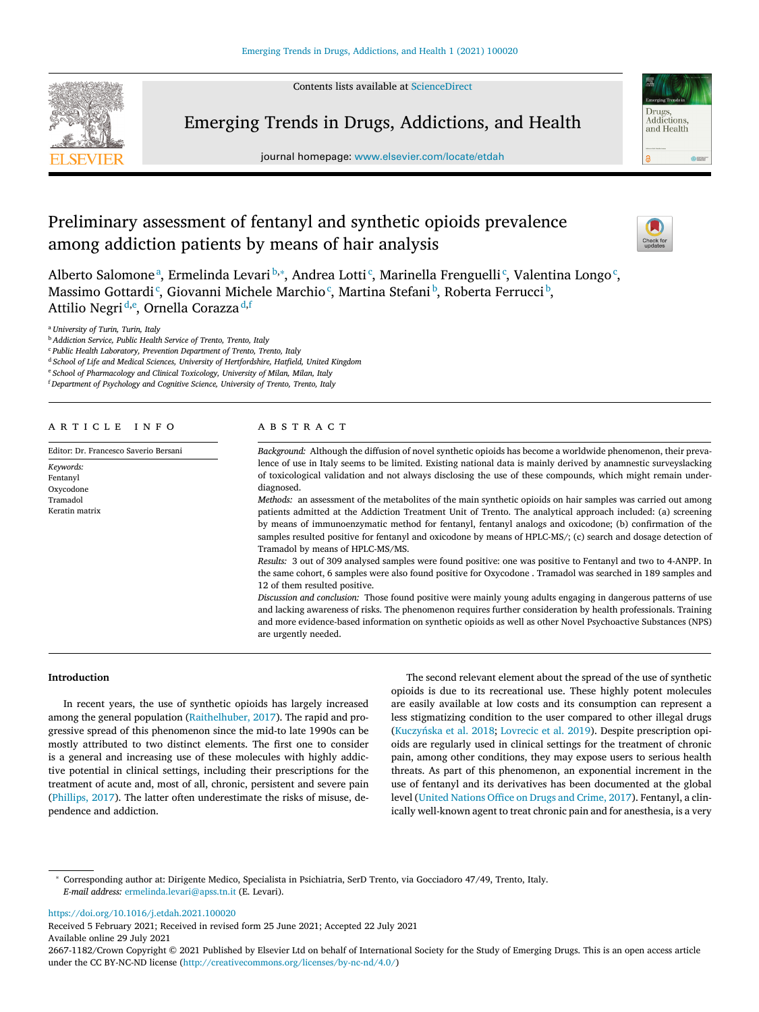Contents lists available at [ScienceDirect](http://www.ScienceDirect.com)



Emerging Trends in Drugs, Addictions, and Health

journal homepage: [www.elsevier.com/locate/etdah](http://www.elsevier.com/locate/etdah)

# Preliminary assessment of fentanyl and synthetic opioids prevalence among addiction patients by means of hair analysis



Drugs Addictions and Health

 $rac{1}{2}$ 

Alberto Salomoneª, Ermelinda Levari b,\*, Andrea Lotti<sup>c</sup>, Marinella Frenguelli<sup>c</sup>, Valentina Longo<sup>c</sup>, Massimo Gottardiʿ, Giovanni Michele Marchioʿ, Martina Stefaniʰ, Roberta Ferrucciʰ, Attilio Negri <sup>d,e</sup>, Ornella Corazza <sup>d,f</sup>

<sup>a</sup> *University of Turin, Turin, Italy*

<sup>b</sup> *Addiction Service, Public Health Service of Trento, Trento, Italy*

<sup>c</sup> *Public Health Laboratory, Prevention Department of Trento, Trento, Italy*

<sup>d</sup> *School of Life and Medical Sciences, University of Hertfordshire, Hatfield, United Kingdom*

<sup>e</sup> *School of Pharmacology and Clinical Toxicology, University of Milan, Milan, Italy*

<sup>f</sup> *Department of Psychology and Cognitive Science, University of Trento, Trento, Italy*

| ARTICLE INFO |  |  |  |  |  |  |  |  |  |  |  |  |  |
|--------------|--|--|--|--|--|--|--|--|--|--|--|--|--|
|--------------|--|--|--|--|--|--|--|--|--|--|--|--|--|

Editor: Dr. Francesco Saverio Bersani

*Keywords:* Fentanyl Oxycodone Tramadol Keratin matrix

# a b s t r a c t

*Background:* Although the diffusion of novel synthetic opioids has become a worldwide phenomenon, their prevalence of use in Italy seems to be limited. Existing national data is mainly derived by anamnestic surveyslacking of toxicological validation and not always disclosing the use of these compounds, which might remain underdiagnosed.

*Methods:* an assessment of the metabolites of the main synthetic opioids on hair samples was carried out among patients admitted at the Addiction Treatment Unit of Trento. The analytical approach included: (a) screening by means of immunoenzymatic method for fentanyl, fentanyl analogs and oxicodone; (b) confirmation of the samples resulted positive for fentanyl and oxicodone by means of HPLC-MS/; (c) search and dosage detection of Tramadol by means of HPLC-MS/MS.

*Results:* 3 out of 309 analysed samples were found positive: one was positive to Fentanyl and two to 4-ANPP. In the same cohort, 6 samples were also found positive for Oxycodone . Tramadol was searched in 189 samples and 12 of them resulted positive.

*Discussion and conclusion:* Those found positive were mainly young adults engaging in dangerous patterns of use and lacking awareness of risks. The phenomenon requires further consideration by health professionals. Training and more evidence-based information on synthetic opioids as well as other Novel Psychoactive Substances (NPS) are urgently needed.

# **Introduction**

In recent years, the use of synthetic opioids has largely increased among the general population [\(Raithelhuber,](#page-4-0) 2017). The rapid and progressive spread of this phenomenon since the mid-to late 1990s can be mostly attributed to two distinct elements. The first one to consider is a general and increasing use of these molecules with highly addictive potential in clinical settings, including their prescriptions for the treatment of acute and, most of all, chronic, persistent and severe pain [\(Phillips,](#page-4-0) 2017). The latter often underestimate the risks of misuse, dependence and addiction.

The second relevant element about the spread of the use of synthetic opioids is due to its recreational use. These highly potent molecules are easily available at low costs and its consumption can represent a less stigmatizing condition to the user compared to other illegal drugs [\(Kuczyńska](#page-4-0) et al. 2018; [Lovrecic](#page-4-0) et al. 2019). Despite prescription opioids are regularly used in clinical settings for the treatment of chronic pain, among other conditions, they may expose users to serious health threats. As part of this phenomenon, an exponential increment in the use of fentanyl and its derivatives has been documented at the global level (United [Nations](#page-4-0) Office on Drugs and Crime, 2017). Fentanyl, a clinically well-known agent to treat chronic pain and for anesthesia, is a very

<https://doi.org/10.1016/j.etdah.2021.100020>

Received 5 February 2021; Received in revised form 25 June 2021; Accepted 22 July 2021 Available online 29 July 2021

<sup>∗</sup> Corresponding author at: Dirigente Medico, Specialista in Psichiatria, SerD Trento, via Gocciadoro 47/49, Trento, Italy. *E-mail address:* [ermelinda.levari@apss.tn.it](mailto:ermelinda.levari@apss.tn.it) (E. Levari).

<sup>2667-1182/</sup>Crown Copyright © 2021 Published by Elsevier Ltd on behalf of International Society for the Study of Emerging Drugs. This is an open access article under the CC BY-NC-ND license [\(http://creativecommons.org/licenses/by-nc-nd/4.0/\)](http://creativecommons.org/licenses/by-nc-nd/4.0/)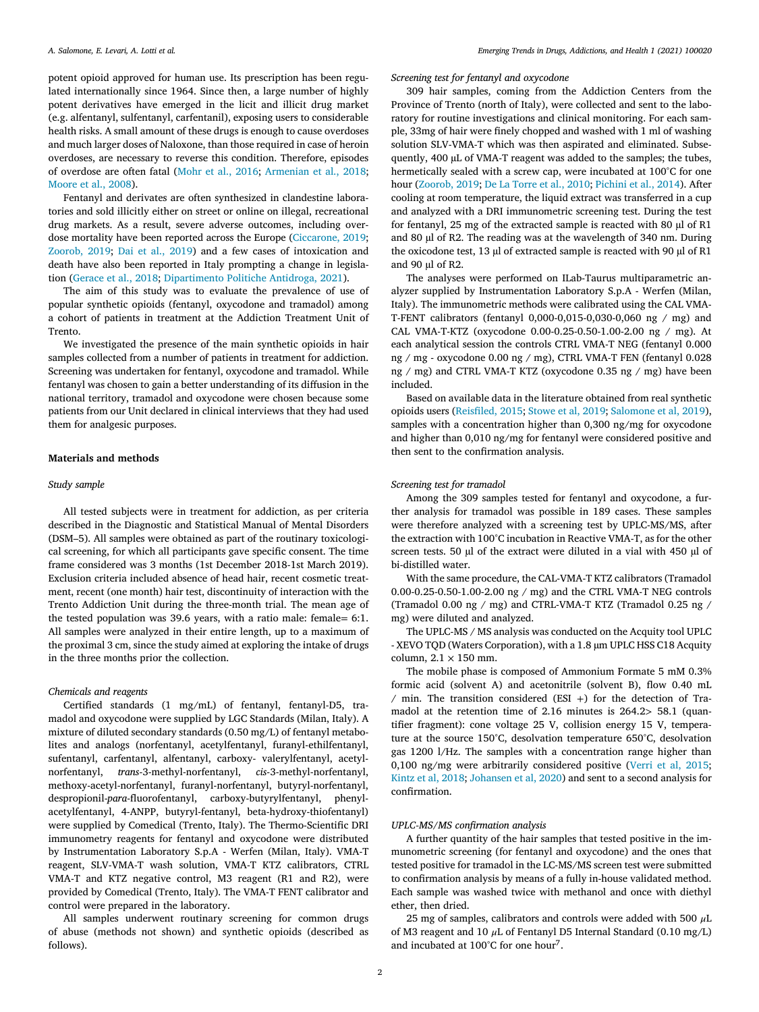potent opioid approved for human use. Its prescription has been regulated internationally since 1964. Since then, a large number of highly potent derivatives have emerged in the licit and illicit drug market (e.g. alfentanyl, sulfentanyl, carfentanil), exposing users to considerable health risks. A small amount of these drugs is enough to cause overdoses and much larger doses of Naloxone, than those required in case of heroin overdoses, are necessary to reverse this condition. Therefore, episodes of overdose are often fatal [\(Mohr](#page-4-0) et al., 2016; [Armenian](#page-4-0) et al., 2018; [Moore](#page-4-0) et al., 2008).

Fentanyl and derivates are often synthesized in clandestine laboratories and sold illicitly either on street or online on illegal, recreational drug markets. As a result, severe adverse outcomes, including overdose mortality have been reported across the Europe [\(Ciccarone,](#page-4-0) 2019; [Zoorob,](#page-4-0) 2019; Dai et al., [2019\)](#page-4-0) and a few cases of intoxication and death have also been reported in Italy prompting a change in legislation [\(Gerace](#page-4-0) et al., 2018; [Dipartimento](#page-4-0) Politiche Antidroga, 2021).

The aim of this study was to evaluate the prevalence of use of popular synthetic opioids (fentanyl, oxycodone and tramadol) among a cohort of patients in treatment at the Addiction Treatment Unit of Trento.

We investigated the presence of the main synthetic opioids in hair samples collected from a number of patients in treatment for addiction. Screening was undertaken for fentanyl, oxycodone and tramadol. While fentanyl was chosen to gain a better understanding of its diffusion in the national territory, tramadol and oxycodone were chosen because some patients from our Unit declared in clinical interviews that they had used them for analgesic purposes.

# **Materials and methods**

## *Study sample*

All tested subjects were in treatment for addiction, as per criteria described in the Diagnostic and Statistical Manual of Mental Disorders (DSM–5). All samples were obtained as part of the routinary toxicological screening, for which all participants gave specific consent. The time frame considered was 3 months (1st December 2018-1st March 2019). Exclusion criteria included absence of head hair, recent cosmetic treatment, recent (one month) hair test, discontinuity of interaction with the Trento Addiction Unit during the three-month trial. The mean age of the tested population was 39.6 years, with a ratio male: female= 6:1. All samples were analyzed in their entire length, up to a maximum of the proximal 3 cm, since the study aimed at exploring the intake of drugs in the three months prior the collection.

## *Chemicals and reagents*

Certified standards (1 mg/mL) of fentanyl, fentanyl-D5, tramadol and oxycodone were supplied by LGC Standards (Milan, Italy). A mixture of diluted secondary standards (0.50 mg/L) of fentanyl metabolites and analogs (norfentanyl, acetylfentanyl, furanyl-ethilfentanyl, sufentanyl, carfentanyl, alfentanyl, carboxy- valerylfentanyl, acetylnorfentanyl, *trans*-3-methyl-norfentanyl, *cis*-3-methyl-norfentanyl, methoxy-acetyl-norfentanyl, furanyl-norfentanyl, butyryl-norfentanyl, despropionil-*para*-fluorofentanyl, carboxy-butyrylfentanyl, phenylacetylfentanyl, 4-ANPP, butyryl-fentanyl, beta-hydroxy-thiofentanyl) were supplied by Comedical (Trento, Italy). The Thermo-Scientific DRI immunometry reagents for fentanyl and oxycodone were distributed by Instrumentation Laboratory S.p.A - Werfen (Milan, Italy). VMA-T reagent, SLV-VMA-T wash solution, VMA-T KTZ calibrators, CTRL VMA-T and KTZ negative control, M3 reagent (R1 and R2), were provided by Comedical (Trento, Italy). The VMA-T FENT calibrator and control were prepared in the laboratory.

All samples underwent routinary screening for common drugs of abuse (methods not shown) and synthetic opioids (described as follows).

# *Screening test for fentanyl and oxycodone*

309 hair samples, coming from the Addiction Centers from the Province of Trento (north of Italy), were collected and sent to the laboratory for routine investigations and clinical monitoring. For each sample, 33mg of hair were finely chopped and washed with 1 ml of washing solution SLV-VMA-T which was then aspirated and eliminated. Subsequently, 400 μL of VMA-T reagent was added to the samples; the tubes, hermetically sealed with a screw cap, were incubated at 100°C for one hour [\(Zoorob,](#page-4-0) 2019; De La [Torre](#page-4-0) et al., 2010; [Pichini](#page-4-0) et al., 2014). After cooling at room temperature, the liquid extract was transferred in a cup and analyzed with a DRI immunometric screening test. During the test for fentanyl, 25 mg of the extracted sample is reacted with 80 μl of R1 and 80 μl of R2. The reading was at the wavelength of 340 nm. During the oxicodone test, 13 μl of extracted sample is reacted with 90 μl of R1 and 90 *μl* of R2.

The analyses were performed on ILab-Taurus multiparametric analyzer supplied by Instrumentation Laboratory S.p.A - Werfen (Milan, Italy). The immunometric methods were calibrated using the CAL VMA-T-FENT calibrators (fentanyl 0,000-0,015-0,030-0,060 ng / mg) and CAL VMA-T-KTZ (oxycodone 0.00-0.25-0.50-1.00-2.00 ng / mg). At each analytical session the controls CTRL VMA-T NEG (fentanyl 0.000 ng / mg - oxycodone 0.00 ng / mg), CTRL VMA-T FEN (fentanyl 0.028 ng / mg) and CTRL VMA-T KTZ (oxycodone 0.35 ng / mg) have been included.

Based on available data in the literature obtained from real synthetic opioids users [\(Reisfiled,](#page-4-0) 2015; [Stowe](#page-4-0) et al, 2019; [Salomone](#page-4-0) et al, 2019), samples with a concentration higher than 0,300 ng/mg for oxycodone and higher than 0,010 ng/mg for fentanyl were considered positive and then sent to the confirmation analysis.

## *Screening test for tramadol*

Among the 309 samples tested for fentanyl and oxycodone, a further analysis for tramadol was possible in 189 cases. These samples were therefore analyzed with a screening test by UPLC-MS/MS, after the extraction with 100°C incubation in Reactive VMA-T, as for the other screen tests. 50 μl of the extract were diluted in a vial with 450 μl of bi-distilled water.

With the same procedure, the CAL-VMA-T KTZ calibrators (Tramadol 0.00-0.25-0.50-1.00-2.00 ng / mg) and the CTRL VMA-T NEG controls (Tramadol 0.00 ng / mg) and CTRL-VMA-T KTZ (Tramadol 0.25 ng / mg) were diluted and analyzed.

The UPLC-MS / MS analysis was conducted on the Acquity tool UPLC - XEVO TQD (Waters Corporation), with a 1.8 μm UPLC HSS C18 Acquity column,  $2.1 \times 150$  mm.

The mobile phase is composed of Ammonium Formate 5 mM 0.3% formic acid (solvent A) and acetonitrile (solvent B), flow 0.40 mL  $/$  min. The transition considered (ESI +) for the detection of Tramadol at the retention time of 2.16 minutes is 264.2*>* 58.1 (quantifier fragment): cone voltage 25 V, collision energy 15 V, temperature at the source 150°C, desolvation temperature 650°C, desolvation gas 1200 l/Hz. The samples with a concentration range higher than 0,100 ng/mg were arbitrarily considered positive [\(Verri](#page-4-0) et al, 2015; Kintz et al, [2018;](#page-4-0) [Johansen](#page-4-0) et al, 2020) and sent to a second analysis for confirmation.

## *UPLC-MS/MS confirmation analysis*

A further quantity of the hair samples that tested positive in the immunometric screening (for fentanyl and oxycodone) and the ones that tested positive for tramadol in the LC-MS/MS screen test were submitted to confirmation analysis by means of a fully in-house validated method. Each sample was washed twice with methanol and once with diethyl ether, then dried.

25 mg of samples, calibrators and controls were added with 500  $\mu$ L of M3 reagent and 10  $\mu$ L of Fentanyl D5 Internal Standard (0.10 mg/L) and incubated at 100°C for one hour<sup>7</sup>.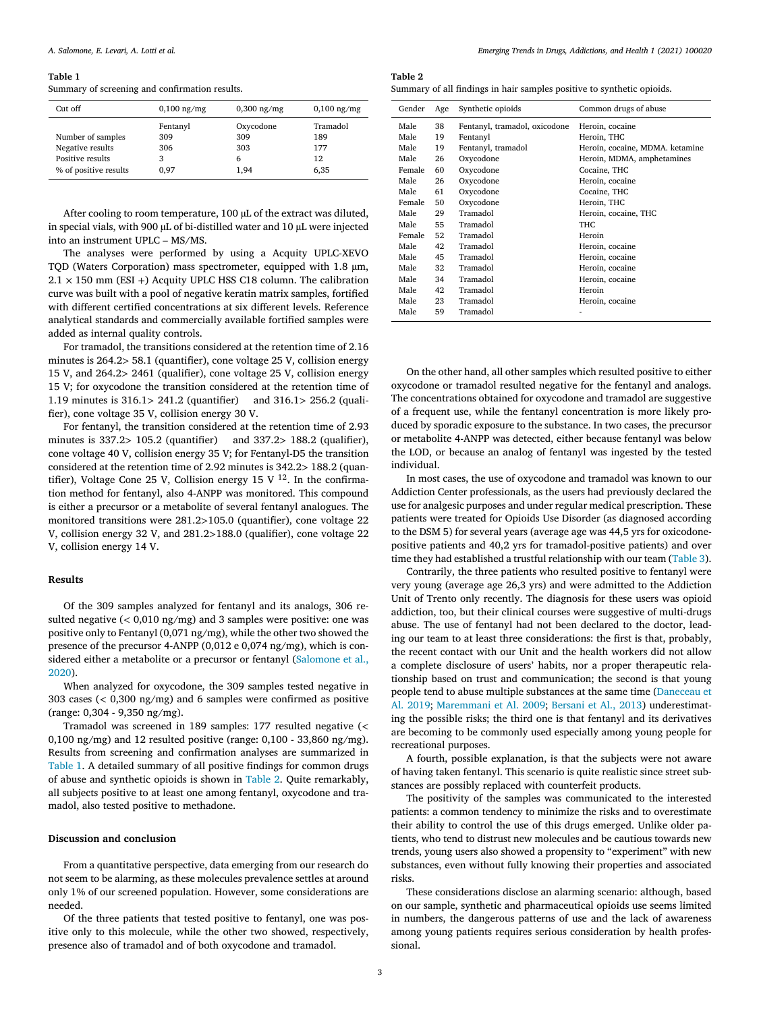#### **Table 1**

Summary of screening and confirmation results.

| $Cut$ off             | $0,100$ ng/mg | $0,300$ ng/mg | $0,100$ ng/mg |  |
|-----------------------|---------------|---------------|---------------|--|
|                       | Fentanyl      | Oxycodone     | Tramadol      |  |
| Number of samples     | 309           | 309           | 189           |  |
| Negative results      | 306           | 303           | 177           |  |
| Positive results      | 3             | 6             | 12            |  |
| % of positive results | 0.97          | 1.94          | 6,35          |  |

After cooling to room temperature, 100 μL of the extract was diluted, in special vials, with 900 μL of bi-distilled water and 10 μL were injected into an instrument UPLC – MS/MS.

The analyses were performed by using a Acquity UPLC-XEVO TQD (Waters Corporation) mass spectrometer, equipped with 1.8 μm,  $2.1 \times 150$  mm (ESI +) Acquity UPLC HSS C18 column. The calibration curve was built with a pool of negative keratin matrix samples, fortified with different certified concentrations at six different levels. Reference analytical standards and commercially available fortified samples were added as internal quality controls.

For tramadol, the transitions considered at the retention time of 2.16 minutes is 264.2*>* 58.1 (quantifier), cone voltage 25 V, collision energy 15 V, and 264.2*>* 2461 (qualifier), cone voltage 25 V, collision energy 15 V; for oxycodone the transition considered at the retention time of 1.19 minutes is 316.1*>* 241.2 (quantifier) and 316.1*>* 256.2 (qualifier), cone voltage 35 V, collision energy 30 V.

For fentanyl, the transition considered at the retention time of 2.93 minutes is 337.2*>* 105.2 (quantifier) and 337.2*>* 188.2 (qualifier), cone voltage 40 V, collision energy 35 V; for Fentanyl-D5 the transition considered at the retention time of 2.92 minutes is 342.2*>* 188.2 (quantifier), Voltage Cone 25 V, Collision energy 15 V  $^{12}$ . In the confirmation method for fentanyl, also 4-ANPP was monitored. This compound is either a precursor or a metabolite of several fentanyl analogues. The monitored transitions were 281.2*>*105.0 (quantifier), cone voltage 22 V, collision energy 32 V, and 281.2*>*188.0 (qualifier), cone voltage 22 V, collision energy 14 V.

# **Results**

Of the 309 samples analyzed for fentanyl and its analogs, 306 resulted negative (*<* 0,010 ng/mg) and 3 samples were positive: one was positive only to Fentanyl (0,071 ng/mg), while the other two showed the presence of the precursor 4-ANPP (0,012 e 0,074 ng/mg), which is considered either a [metabolite](#page-4-0) or a precursor or fentanyl (Salomone et al., 2020).

When analyzed for oxycodone, the 309 samples tested negative in 303 cases (*<* 0,300 ng/mg) and 6 samples were confirmed as positive (range: 0,304 - 9,350 ng/mg).

Tramadol was screened in 189 samples: 177 resulted negative (*<* 0,100  $\text{ng/mg}$  and 12 resulted positive (range: 0,100 - 33,860  $\text{ng/mg}$ ). Results from screening and confirmation analyses are summarized in Table 1. A detailed summary of all positive findings for common drugs of abuse and synthetic opioids is shown in Table 2. Quite remarkably, all subjects positive to at least one among fentanyl, oxycodone and tramadol, also tested positive to methadone.

# **Discussion and conclusion**

From a quantitative perspective, data emerging from our research do not seem to be alarming, as these molecules prevalence settles at around only 1% of our screened population. However, some considerations are needed.

Of the three patients that tested positive to fentanyl, one was positive only to this molecule, while the other two showed, respectively, presence also of tramadol and of both oxycodone and tramadol.

#### **Table 2**

|  | Summary of all findings in hair samples positive to synthetic opioids. |  |  |
|--|------------------------------------------------------------------------|--|--|
|  |                                                                        |  |  |

| Gender | Age | Synthetic opioids             | Common drugs of abuse           |
|--------|-----|-------------------------------|---------------------------------|
| Male   | 38  | Fentanyl, tramadol, oxicodone | Heroin, cocaine                 |
| Male   | 19  | Fentanyl                      | Heroin, THC                     |
| Male   | 19  | Fentanyl, tramadol            | Heroin, cocaine, MDMA, ketamine |
| Male   | 26  | Oxycodone                     | Heroin, MDMA, amphetamines      |
| Female | 60  | Oxycodone                     | Cocaine, THC                    |
| Male   | 26  | Oxycodone                     | Heroin, cocaine                 |
| Male   | 61  | Oxycodone                     | Cocaine, THC                    |
| Female | 50  | Oxycodone                     | Heroin, THC                     |
| Male   | 29  | Tramadol                      | Heroin, cocaine, THC            |
| Male   | 55  | Tramadol                      | THC.                            |
| Female | 52  | Tramadol                      | Heroin                          |
| Male   | 42  | Tramadol                      | Heroin, cocaine                 |
| Male   | 45  | Tramadol                      | Heroin, cocaine                 |
| Male   | 32  | Tramadol                      | Heroin, cocaine                 |
| Male   | 34  | Tramadol                      | Heroin, cocaine                 |
| Male   | 42  | Tramadol                      | Heroin                          |
| Male   | 23  | Tramadol                      | Heroin, cocaine                 |
| Male   | 59  | Tramadol                      |                                 |

On the other hand, all other samples which resulted positive to either oxycodone or tramadol resulted negative for the fentanyl and analogs. The concentrations obtained for oxycodone and tramadol are suggestive of a frequent use, while the fentanyl concentration is more likely produced by sporadic exposure to the substance. In two cases, the precursor or metabolite 4-ANPP was detected, either because fentanyl was below the LOD, or because an analog of fentanyl was ingested by the tested individual.

In most cases, the use of oxycodone and tramadol was known to our Addiction Center professionals, as the users had previously declared the use for analgesic purposes and under regular medical prescription. These patients were treated for Opioids Use Disorder (as diagnosed according to the DSM 5) for several years (average age was 44,5 yrs for oxicodonepositive patients and 40,2 yrs for tramadol-positive patients) and over time they had established a trustful relationship with our team [\(Table](#page-3-0) 3).

Contrarily, the three patients who resulted positive to fentanyl were very young (average age 26,3 yrs) and were admitted to the Addiction Unit of Trento only recently. The diagnosis for these users was opioid addiction, too, but their clinical courses were suggestive of multi-drugs abuse. The use of fentanyl had not been declared to the doctor, leading our team to at least three considerations: the first is that, probably, the recent contact with our Unit and the health workers did not allow a complete disclosure of users' habits, nor a proper therapeutic relationship based on trust and communication; the second is that young people tend to abuse multiple substances at the same time (Daneceau et Al. 2019; [Maremmani](#page-4-0) et Al. 2009; [Bersani](#page-4-0) et Al., 2013) [underestimat](#page-4-0)ing the possible risks; the third one is that fentanyl and its derivatives are becoming to be commonly used especially among young people for recreational purposes.

A fourth, possible explanation, is that the subjects were not aware of having taken fentanyl. This scenario is quite realistic since street substances are possibly replaced with counterfeit products.

The positivity of the samples was communicated to the interested patients: a common tendency to minimize the risks and to overestimate their ability to control the use of this drugs emerged. Unlike older patients, who tend to distrust new molecules and be cautious towards new trends, young users also showed a propensity to "experiment" with new substances, even without fully knowing their properties and associated risks.

These considerations disclose an alarming scenario: although, based on our sample, synthetic and pharmaceutical opioids use seems limited in numbers, the dangerous patterns of use and the lack of awareness among young patients requires serious consideration by health professional.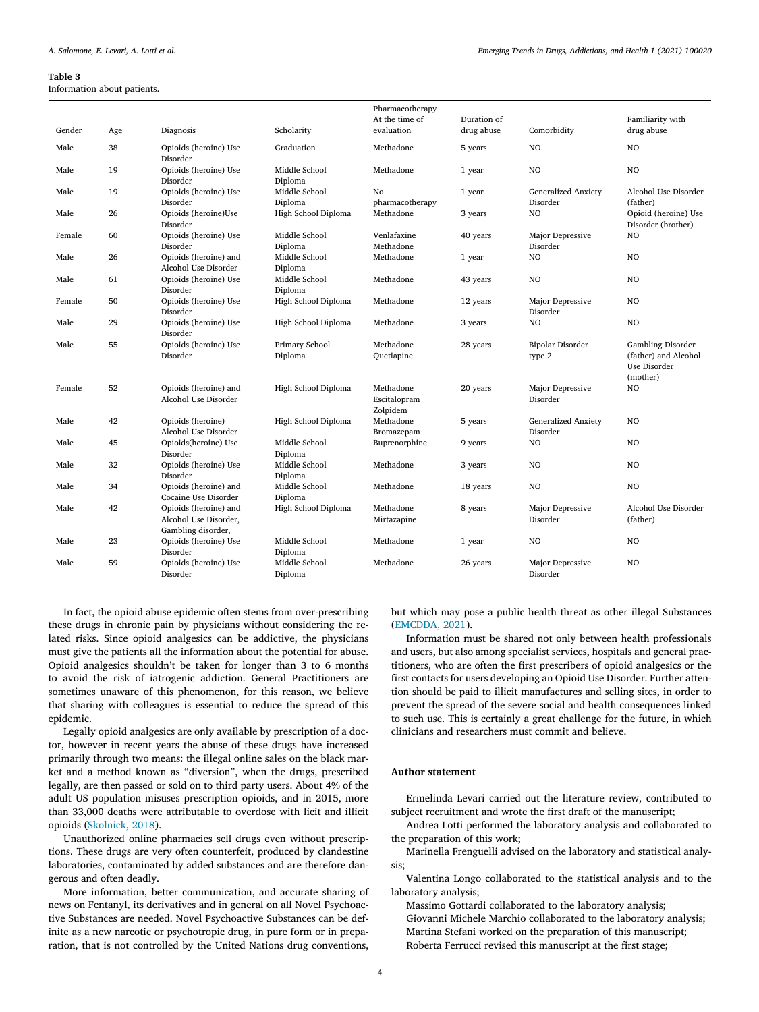#### <span id="page-3-0"></span>**Table 3**

Information about patients.

|        |     |                                   |                          | Pharmacotherapy |             |                              |                                            |
|--------|-----|-----------------------------------|--------------------------|-----------------|-------------|------------------------------|--------------------------------------------|
|        |     |                                   |                          | At the time of  | Duration of |                              | Familiarity with                           |
| Gender | Age | Diagnosis                         | Scholarity               | evaluation      | drug abuse  | Comorbidity                  | drug abuse                                 |
| Male   | 38  | Opioids (heroine) Use<br>Disorder | Graduation               | Methadone       | 5 years     | N <sub>O</sub>               | N <sub>O</sub>                             |
| Male   | 19  | Opioids (heroine) Use             | Middle School            | Methadone       | 1 year      | N <sub>O</sub>               | NO                                         |
|        |     | Disorder                          | Diploma                  |                 |             |                              |                                            |
| Male   | 19  | Opioids (heroine) Use             | Middle School            | No              | 1 year      | <b>Generalized Anxiety</b>   | Alcohol Use Disorder                       |
|        |     | Disorder                          | Diploma                  | pharmacotherapy |             | Disorder                     | (father)                                   |
| Male   | 26  | Opioids (heroine)Use<br>Disorder  | High School Diploma      | Methadone       | 3 years     | N <sub>O</sub>               | Opioid (heroine) Use<br>Disorder (brother) |
| Female | 60  | Opioids (heroine) Use             | Middle School            | Venlafaxine     | 40 years    | Major Depressive             | NO.                                        |
|        |     | Disorder                          | Diploma                  | Methadone       |             | Disorder                     |                                            |
| Male   | 26  | Opioids (heroine) and             | Middle School            | Methadone       | 1 year      | NO                           | NO                                         |
|        |     | Alcohol Use Disorder              | Diploma                  |                 |             |                              |                                            |
| Male   | 61  | Opioids (heroine) Use             | Middle School            | Methadone       | 43 years    | N <sub>O</sub>               | N <sub>O</sub>                             |
|        |     | Disorder                          | Diploma                  |                 |             |                              |                                            |
| Female | 50  | Opioids (heroine) Use<br>Disorder | High School Diploma      | Methadone       | 12 years    | Major Depressive<br>Disorder | N <sub>O</sub>                             |
| Male   | 29  | Opioids (heroine) Use             | High School Diploma      | Methadone       | 3 years     | N <sub>O</sub>               | NO                                         |
| Male   | 55  | Disorder<br>Opioids (heroine) Use | Primary School           | Methadone       |             | <b>Bipolar Disorder</b>      | Gambling Disorder                          |
|        |     | Disorder                          | Diploma                  | Quetiapine      | 28 years    | type 2                       | (father) and Alcohol                       |
|        |     |                                   |                          |                 |             |                              | Use Disorder                               |
|        |     |                                   |                          |                 |             |                              | (mother)                                   |
| Female | 52  | Opioids (heroine) and             | High School Diploma      | Methadone       | 20 years    | Major Depressive             | NO                                         |
|        |     | Alcohol Use Disorder              |                          | Escitalopram    |             | Disorder                     |                                            |
|        |     |                                   |                          | Zolpidem        |             |                              |                                            |
| Male   | 42  | Opioids (heroine)                 | High School Diploma      | Methadone       | 5 years     | <b>Generalized Anxiety</b>   | NO                                         |
|        |     | Alcohol Use Disorder              |                          | Bromazepam      |             | Disorder                     |                                            |
| Male   | 45  | Opioids(heroine) Use<br>Disorder  | Middle School<br>Diploma | Buprenorphine   | 9 years     | NO                           | N <sub>O</sub>                             |
| Male   | 32  | Opioids (heroine) Use             | Middle School            | Methadone       | 3 years     | N <sub>O</sub>               | NO.                                        |
|        |     | Disorder                          | Diploma                  |                 |             |                              |                                            |
| Male   | 34  | Opioids (heroine) and             | Middle School            | Methadone       | 18 years    | N <sub>O</sub>               | NO.                                        |
|        |     | Cocaine Use Disorder              | Diploma                  |                 |             |                              |                                            |
| Male   | 42  | Opioids (heroine) and             | High School Diploma      | Methadone       | 8 years     | <b>Major Depressive</b>      | Alcohol Use Disorder                       |
|        |     | Alcohol Use Disorder,             |                          | Mirtazapine     |             | Disorder                     | (father)                                   |
|        |     | Gambling disorder,                |                          |                 |             |                              |                                            |
| Male   | 23  | Opioids (heroine) Use<br>Disorder | Middle School<br>Diploma | Methadone       | 1 year      | N <sub>O</sub>               | N <sub>O</sub>                             |
| Male   | 59  | Opioids (heroine) Use             | Middle School            | Methadone       | 26 years    | Major Depressive             | NO.                                        |
|        |     | Disorder                          | Diploma                  |                 |             | Disorder                     |                                            |

In fact, the opioid abuse epidemic often stems from over-prescribing these drugs in chronic pain by physicians without considering the related risks. Since opioid analgesics can be addictive, the physicians must give the patients all the information about the potential for abuse. Opioid analgesics shouldn't be taken for longer than 3 to 6 months to avoid the risk of iatrogenic addiction. General Practitioners are sometimes unaware of this phenomenon, for this reason, we believe that sharing with colleagues is essential to reduce the spread of this epidemic.

Legally opioid analgesics are only available by prescription of a doctor, however in recent years the abuse of these drugs have increased primarily through two means: the illegal online sales on the black market and a method known as "diversion", when the drugs, prescribed legally, are then passed or sold on to third party users. About 4% of the adult US population misuses prescription opioids, and in 2015, more than 33,000 deaths were attributable to overdose with licit and illicit opioids [\(Skolnick,](#page-4-0) 2018).

Unauthorized online pharmacies sell drugs even without prescriptions. These drugs are very often counterfeit, produced by clandestine laboratories, contaminated by added substances and are therefore dangerous and often deadly.

More information, better communication, and accurate sharing of news on Fentanyl, its derivatives and in general on all Novel Psychoactive Substances are needed. Novel Psychoactive Substances can be definite as a new narcotic or psychotropic drug, in pure form or in preparation, that is not controlled by the United Nations drug conventions,

but which may pose a public health threat as other illegal Substances [\(EMCDDA,](#page-4-0) 2021).

Information must be shared not only between health professionals and users, but also among specialist services, hospitals and general practitioners, who are often the first prescribers of opioid analgesics or the first contacts for users developing an Opioid Use Disorder. Further attention should be paid to illicit manufactures and selling sites, in order to prevent the spread of the severe social and health consequences linked to such use. This is certainly a great challenge for the future, in which clinicians and researchers must commit and believe.

# **Author statement**

Ermelinda Levari carried out the literature review, contributed to subject recruitment and wrote the first draft of the manuscript;

Andrea Lotti performed the laboratory analysis and collaborated to the preparation of this work;

Marinella Frenguelli advised on the laboratory and statistical analysis;

Valentina Longo collaborated to the statistical analysis and to the laboratory analysis;

Massimo Gottardi collaborated to the laboratory analysis; Giovanni Michele Marchio collaborated to the laboratory analysis; Martina Stefani worked on the preparation of this manuscript; Roberta Ferrucci revised this manuscript at the first stage;